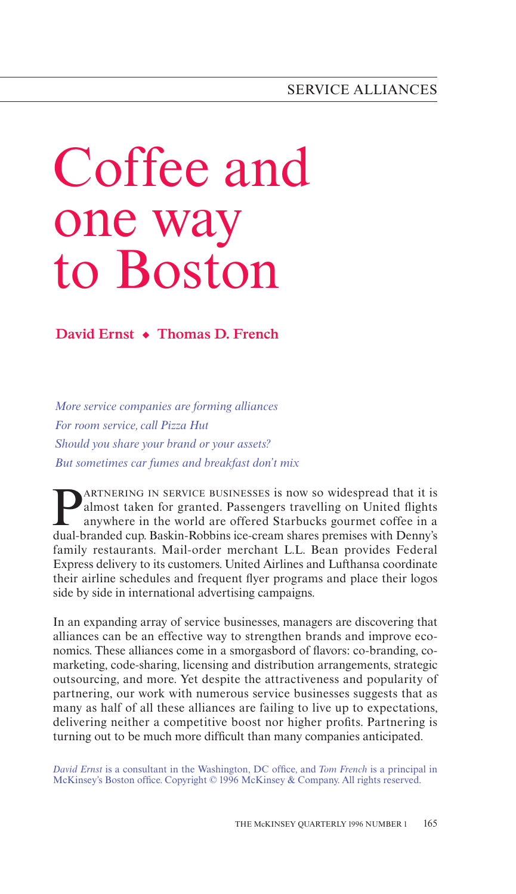# Coffee and one way to Boston

**David Ernst • Thomas D. French**

*More service companies are forming alliances For room service, call Pizza Hut Should you share your brand or your assets? But sometimes car fumes and breakfast don't mix*

**PARTNERING IN SERVICE BUSINESSES is now so widespread that it is<br>almost taken for granted. Passengers travelling on United flights<br>anywhere in the world are offered Starbucks gourmet coffee in a<br>dual-branded cup Baskin-Ro** almost taken for granted. Passengers travelling on United flights anywhere in the world are offered Starbucks gourmet coffee in a dual-branded cup. Baskin-Robbins ice-cream shares premises with Denny's family restaurants. Mail-order merchant L.L. Bean provides Federal Express delivery to its customers. United Airlines and Lufthansa coordinate their airline schedules and frequent flyer programs and place their logos side by side in international advertising campaigns.

In an expanding array of service businesses, managers are discovering that alliances can be an eƒfective way to strengthen brands and improve economics. These alliances come in a smorgasbord of flavors: co-branding, comarketing, code-sharing, licensing and distribution arrangements, strategic outsourcing, and more. Yet despite the attractiveness and popularity of partnering, our work with numerous service businesses suggests that as many as half of all these alliances are failing to live up to expectations, delivering neither a competitive boost nor higher profits. Partnering is turning out to be much more difficult than many companies anticipated.

*David Ernst* is a consultant in the Washington, DC oƒfice, and *Tom French* is a principal in McKinsey's Boston office. Copyright © 1996 McKinsey & Company. All rights reserved.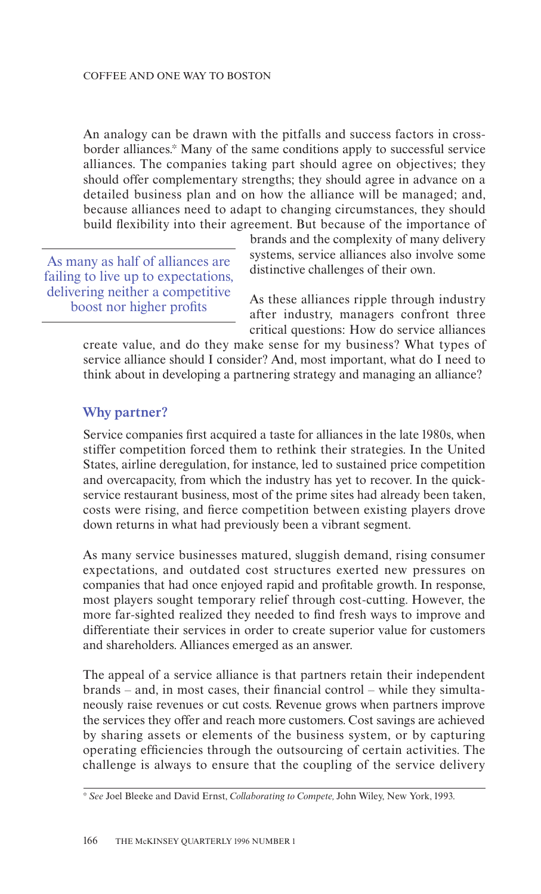An analogy can be drawn with the pitfalls and success factors in crossborder alliances.\* Many of the same conditions apply to successful service alliances. The companies taking part should agree on objectives; they should offer complementary strengths; they should agree in advance on a detailed business plan and on how the alliance will be managed; and, because alliances need to adapt to changing circumstances, they should build flexibility into their agreement. But because of the importance of

As many as half of alliances are failing to live up to expectations, delivering neither a competitive boost nor higher profits

brands and the complexity of many delivery systems, service alliances also involve some distinctive challenges of their own.

As these alliances ripple through industry aƒter industry, managers confront three critical questions: How do service alliances

create value, and do they make sense for my business? What types of service alliance should I consider? And, most important, what do I need to think about in developing a partnering strategy and managing an alliance?

## **Why partner?**

Service companies first acquired a taste for alliances in the late 1980s, when stiƒfer competition forced them to rethink their strategies. In the United States, airline deregulation, for instance, led to sustained price competition and overcapacity, from which the industry has yet to recover. In the quickservice restaurant business, most of the prime sites had already been taken, costs were rising, and fierce competition between existing players drove down returns in what had previously been a vibrant segment.

As many service businesses matured, sluggish demand, rising consumer expectations, and outdated cost structures exerted new pressures on companies that had once enjoyed rapid and profitable growth. In response, most players sought temporary relief through cost-cutting. However, the more far-sighted realized they needed to find fresh ways to improve and differentiate their services in order to create superior value for customers and shareholders. Alliances emerged as an answer.

The appeal of a service alliance is that partners retain their independent brands – and, in most cases, their financial control – while they simultaneously raise revenues or cut costs. Revenue grows when partners improve the services they oƒfer and reach more customers. Cost savings are achieved by sharing assets or elements of the business system, or by capturing operating eƒficiencies through the outsourcing of certain activities. The challenge is always to ensure that the coupling of the service delivery

<sup>\*</sup> *See* Joel Bleeke and David Ernst, *Collaborating to Compete,* John Wiley, New York, 1993.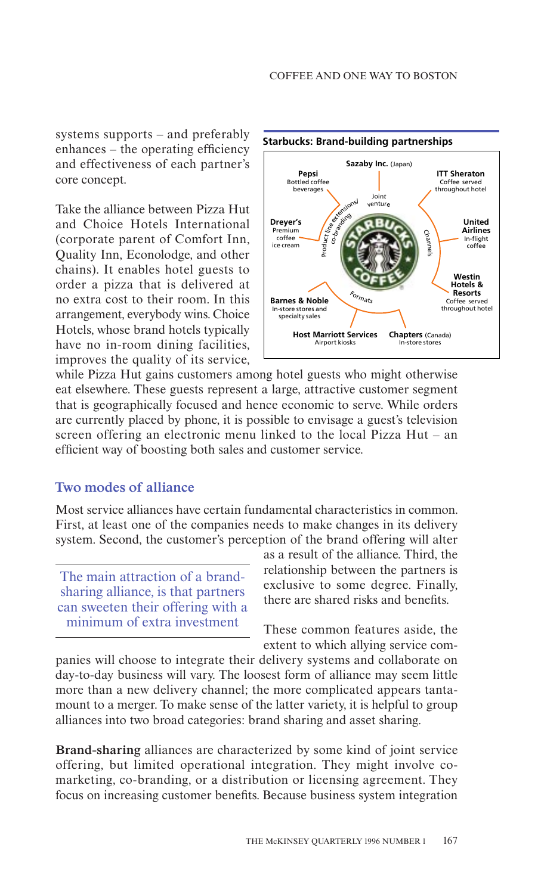systems supports – and preferably enhances – the operating efficiency and eƒfectiveness of each partner's core concept.

Take the alliance between Pizza Hut and Choice Hotels International (corporate parent of Comfort Inn, Quality Inn, Econolodge, and other chains). It enables hotel guests to order a pizza that is delivered at no extra cost to their room. In this arrangement, everybody wins. Choice Hotels, whose brand hotels typically have no in-room dining facilities, improves the quality of its service,



while Pizza Hut gains customers among hotel guests who might otherwise eat elsewhere. These guests represent a large, attractive customer segment that is geographically focused and hence economic to serve. While orders are currently placed by phone, it is possible to envisage a guest's television screen offering an electronic menu linked to the local Pizza Hut – an efficient way of boosting both sales and customer service.

## **Two modes of alliance**

Most service alliances have certain fundamental characteristics in common. First, at least one of the companies needs to make changes in its delivery system. Second, the customer's perception of the brand offering will alter

The main attraction of a brandsharing alliance, is that partners can sweeten their oƒfering with a minimum of extra investment

as a result of the alliance. Third, the relationship between the partners is exclusive to some degree. Finally, there are shared risks and benefits.

These common features aside, the extent to which allying service com-

panies will choose to integrate their delivery systems and collaborate on day-to-day business will vary. The loosest form of alliance may seem little more than a new delivery channel; the more complicated appears tantamount to a merger. To make sense of the latter variety, it is helpful to group alliances into two broad categories: brand sharing and asset sharing.

**Brand-sharing** alliances are characterized by some kind of joint service oƒfering, but limited operational integration. They might involve comarketing, co-branding, or a distribution or licensing agreement. They focus on increasing customer benefits. Because business system integration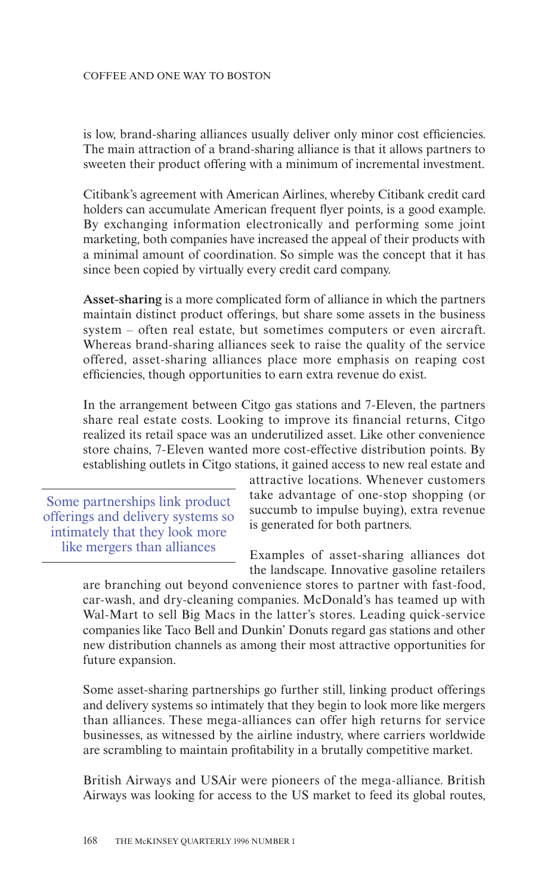#### COFFEE AND ONE WAY TO BOSTON

is low, brand-sharing alliances usually deliver only minor cost efficiencies. The main attraction of a brand-sharing alliance is that it allows partners to sweeten their product offering with a minimum of incremental investment.

Citibank's agreement with American Airlines, whereby Citibank credit card holders can accumulate American frequent flyer points, is a good example. By exchanging information electronically and performing some joint marketing, both companies have increased the appeal of their products with a minimal amount of coordination. So simple was the concept that it has since been copied by virtually every credit card company.

**Asset-sharing** is a more complicated form of alliance in which the partners maintain distinct product offerings, but share some assets in the business system – often real estate, but sometimes computers or even aircraft. Whereas brand-sharing alliances seek to raise the quality of the service oƒfered, asset-sharing alliances place more emphasis on reaping cost eƒficiencies, though opportunities to earn extra revenue do exist.

In the arrangement between Citgo gas stations and 7-Eleven, the partners share real estate costs. Looking to improve its financial returns, Citgo realized its retail space was an underutilized asset. Like other convenience store chains, 7-Eleven wanted more cost-eƒfective distribution points. By establishing outlets in Citgo stations, it gained access to new real estate and

Some partnerships link product oƒferings and delivery systems so intimately that they look more like mergers than alliances

attractive locations. Whenever customers take advantage of one-stop shopping (or succumb to impulse buying), extra revenue is generated for both partners.

Examples of asset-sharing alliances dot the landscape. Innovative gasoline retailers

are branching out beyond convenience stores to partner with fast-food, car-wash, and dry-cleaning companies. McDonald's has teamed up with Wal-Mart to sell Big Macs in the latter's stores. Leading quick-service companies like Taco Bell and Dunkin' Donuts regard gas stations and other new distribution channels as among their most attractive opportunities for future expansion.

Some asset-sharing partnerships go further still, linking product offerings and delivery systems so intimately that they begin to look more like mergers than alliances. These mega-alliances can oƒfer high returns for service businesses, as witnessed by the airline industry, where carriers worldwide are scrambling to maintain profitability in a brutally competitive market.

British Airways and USAir were pioneers of the mega-alliance. British Airways was looking for access to the US market to feed its global routes,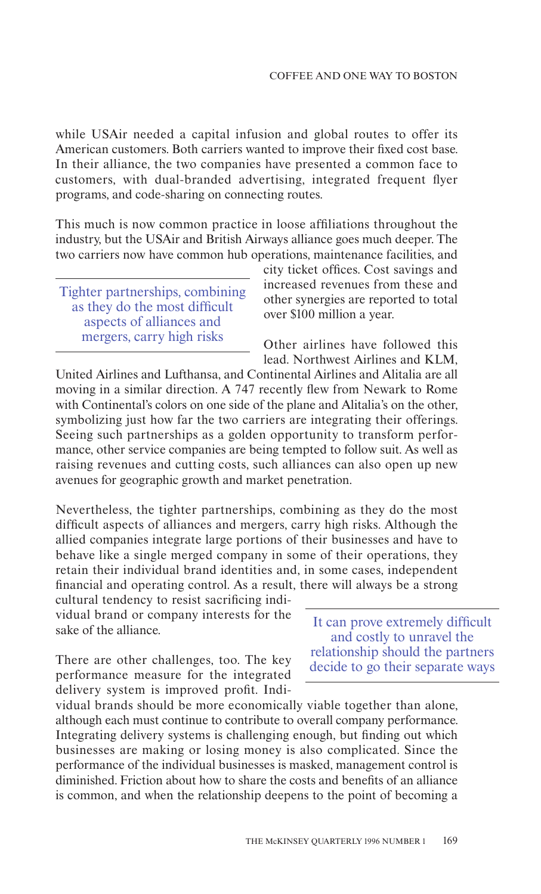while USAir needed a capital infusion and global routes to offer its American customers. Both carriers wanted to improve their fixed cost base. In their alliance, the two companies have presented a common face to customers, with dual-branded advertising, integrated frequent flyer programs, and code-sharing on connecting routes.

This much is now common practice in loose affiliations throughout the industry, but the USAir and British Airways alliance goes much deeper. The two carriers now have common hub operations, maintenance facilities, and

Tighter partnerships, combining as they do the most difficult aspects of alliances and mergers, carry high risks

city ticket oƒfices. Cost savings and increased revenues from these and other synergies are reported to total over \$100 million a year.

Other airlines have followed this lead. Northwest Airlines and KLM,

United Airlines and Lufthansa, and Continental Airlines and Alitalia are all moving in a similar direction. A 747 recently flew from Newark to Rome with Continental's colors on one side of the plane and Alitalia's on the other, symbolizing just how far the two carriers are integrating their offerings. Seeing such partnerships as a golden opportunity to transform performance, other service companies are being tempted to follow suit. As well as raising revenues and cutting costs, such alliances can also open up new avenues for geographic growth and market penetration.

Nevertheless, the tighter partnerships, combining as they do the most difficult aspects of alliances and mergers, carry high risks. Although the allied companies integrate large portions of their businesses and have to behave like a single merged company in some of their operations, they retain their individual brand identities and, in some cases, independent financial and operating control. As a result, there will always be a strong

cultural tendency to resist sacrificing individual brand or company interests for the sake of the alliance.

There are other challenges, too. The key performance measure for the integrated delivery system is improved profit. Indi-

It can prove extremely difficult and costly to unravel the relationship should the partners decide to go their separate ways

vidual brands should be more economically viable together than alone, although each must continue to contribute to overall company performance. Integrating delivery systems is challenging enough, but finding out which businesses are making or losing money is also complicated. Since the performance of the individual businesses is masked, management control is diminished. Friction about how to share the costs and benefits of an alliance is common, and when the relationship deepens to the point of becoming a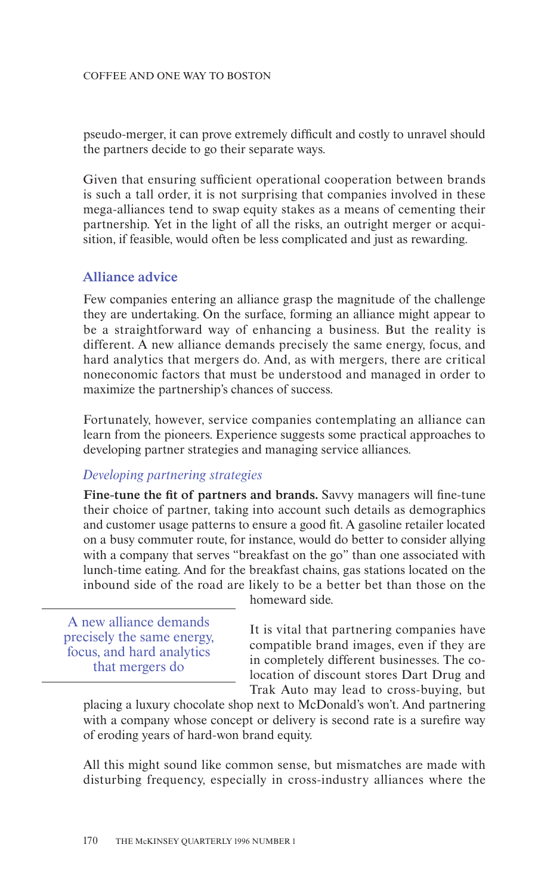#### COFFEE AND ONE WAY TO BOSTON

pseudo-merger, it can prove extremely diƒficult and costly to unravel should the partners decide to go their separate ways.

Given that ensuring sufficient operational cooperation between brands is such a tall order, it is not surprising that companies involved in these mega-alliances tend to swap equity stakes as a means of cementing their partnership. Yet in the light of all the risks, an outright merger or acquisition, if feasible, would often be less complicated and just as rewarding.

## **Alliance advice**

Few companies entering an alliance grasp the magnitude of the challenge they are undertaking. On the surface, forming an alliance might appear to be a straightforward way of enhancing a business. But the reality is different. A new alliance demands precisely the same energy, focus, and hard analytics that mergers do. And, as with mergers, there are critical noneconomic factors that must be understood and managed in order to maximize the partnership's chances of success.

Fortunately, however, service companies contemplating an alliance can learn from the pioneers. Experience suggests some practical approaches to developing partner strategies and managing service alliances.

## *Developing partnering strategies*

**Fine-tune the fit of partners and brands.** Savvy managers will fine-tune their choice of partner, taking into account such details as demographics and customer usage patterns to ensure a good fit. A gasoline retailer located on a busy commuter route, for instance, would do better to consider allying with a company that serves "breakfast on the go" than one associated with lunch-time eating. And for the breakfast chains, gas stations located on the inbound side of the road are likely to be a better bet than those on the

A new alliance demands precisely the same energy, focus, and hard analytics that mergers do

homeward side.

It is vital that partnering companies have compatible brand images, even if they are in completely different businesses. The colocation of discount stores Dart Drug and Trak Auto may lead to cross-buying, but

placing a luxury chocolate shop next to McDonald's won't. And partnering with a company whose concept or delivery is second rate is a surefire way of eroding years of hard-won brand equity.

All this might sound like common sense, but mismatches are made with disturbing frequency, especially in cross-industry alliances where the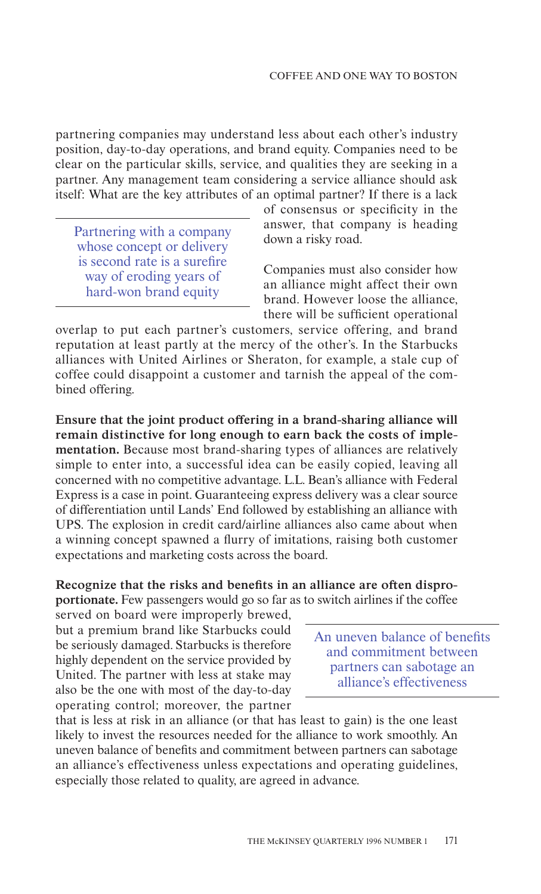partnering companies may understand less about each other's industry position, day-to-day operations, and brand equity. Companies need to be clear on the particular skills, service, and qualities they are seeking in a partner. Any management team considering a service alliance should ask itself: What are the key attributes of an optimal partner? If there is a lack

Partnering with a company whose concept or delivery is second rate is a surefire way of eroding years of hard-won brand equity

of consensus or specificity in the answer, that company is heading down a risky road.

Companies must also consider how an alliance might aƒfect their own brand. However loose the alliance, there will be suƒficient operational

overlap to put each partner's customers, service oƒfering, and brand reputation at least partly at the mercy of the other's. In the Starbucks alliances with United Airlines or Sheraton, for example, a stale cup of coffee could disappoint a customer and tarnish the appeal of the combined offering.

**Ensure that the joint product oƒfering in a brand-sharing alliance will remain distinctive for long enough to earn back the costs of implementation.** Because most brand-sharing types of alliances are relatively simple to enter into, a successful idea can be easily copied, leaving all concerned with no competitive advantage. L.L. Bean's alliance with Federal Express is a case in point. Guaranteeing express delivery was a clear source of diƒferentiation until Lands' End followed by establishing an alliance with UPS. The explosion in credit card/airline alliances also came about when a winning concept spawned a flurry of imitations, raising both customer expectations and marketing costs across the board.

Recognize that the risks and benefits in an alliance are often dispro**portionate.** Few passengers would go so far as to switch airlines if the coffee

served on board were improperly brewed, but a premium brand like Starbucks could be seriously damaged. Starbucks is therefore highly dependent on the service provided by United. The partner with less at stake may also be the one with most of the day-to-day operating control; moreover, the partner

An uneven balance of benefits and commitment between partners can sabotage an alliance's eƒfectiveness

that is less at risk in an alliance (or that has least to gain) is the one least likely to invest the resources needed for the alliance to work smoothly. An uneven balance of benefits and commitment between partners can sabotage an alliance's eƒfectiveness unless expectations and operating guidelines, especially those related to quality, are agreed in advance.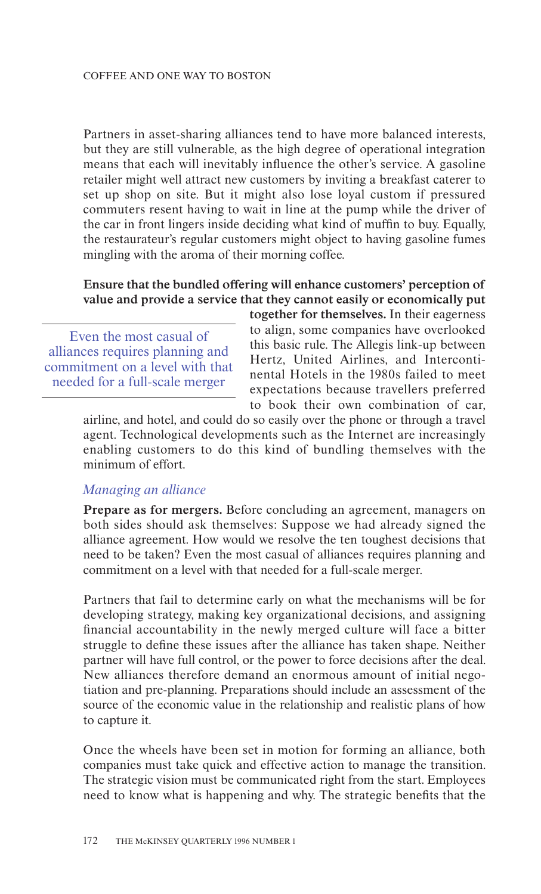Partners in asset-sharing alliances tend to have more balanced interests, but they are still vulnerable, as the high degree of operational integration means that each will inevitably influence the other's service. A gasoline retailer might well attract new customers by inviting a breakfast caterer to set up shop on site. But it might also lose loyal custom if pressured commuters resent having to wait in line at the pump while the driver of the car in front lingers inside deciding what kind of muƒfin to buy. Equally, the restaurateur's regular customers might object to having gasoline fumes mingling with the aroma of their morning coffee.

## **Ensure that the bundled oƒfering will enhance customers' perception of value and provide a service that they cannot easily or economically put**

Even the most casual of alliances requires planning and commitment on a level with that needed for a full-scale merger

**together for themselves.** In their eagerness to align, some companies have overlooked this basic rule. The Allegis link-up between Hertz, United Airlines, and Intercontinental Hotels in the 1980s failed to meet expectations because travellers preferred to book their own combination of car,

airline, and hotel, and could do so easily over the phone or through a travel agent. Technological developments such as the Internet are increasingly enabling customers to do this kind of bundling themselves with the minimum of effort.

### *Managing an alliance*

**Prepare as for mergers.** Before concluding an agreement, managers on both sides should ask themselves: Suppose we had already signed the alliance agreement. How would we resolve the ten toughest decisions that need to be taken? Even the most casual of alliances requires planning and commitment on a level with that needed for a full-scale merger.

Partners that fail to determine early on what the mechanisms will be for developing strategy, making key organizational decisions, and assigning financial accountability in the newly merged culture will face a bitter struggle to define these issues after the alliance has taken shape. Neither partner will have full control, or the power to force decisions after the deal. New alliances therefore demand an enormous amount of initial negotiation and pre-planning. Preparations should include an assessment of the source of the economic value in the relationship and realistic plans of how to capture it.

Once the wheels have been set in motion for forming an alliance, both companies must take quick and eƒfective action to manage the transition. The strategic vision must be communicated right from the start. Employees need to know what is happening and why. The strategic benefits that the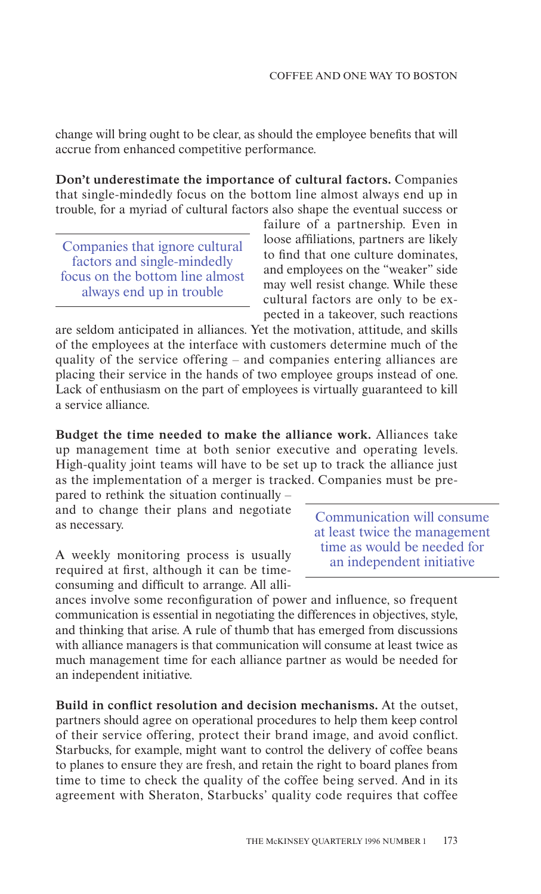change will bring ought to be clear, as should the employee benefits that will accrue from enhanced competitive performance.

**Don't underestimate the importance of cultural factors.** Companies that single-mindedly focus on the bottom line almost always end up in trouble, for a myriad of cultural factors also shape the eventual success or

Companies that ignore cultural factors and single-mindedly focus on the bottom line almost always end up in trouble

failure of a partnership. Even in loose affiliations, partners are likely to find that one culture dominates, and employees on the "weaker" side may well resist change. While these cultural factors are only to be expected in a takeover, such reactions

are seldom anticipated in alliances. Yet the motivation, attitude, and skills of the employees at the interface with customers determine much of the quality of the service oƒfering – and companies entering alliances are placing their service in the hands of two employee groups instead of one. Lack of enthusiasm on the part of employees is virtually guaranteed to kill a service alliance.

**Budget the time needed to make the alliance work.** Alliances take up management time at both senior executive and operating levels. High-quality joint teams will have to be set up to track the alliance just as the implementation of a merger is tracked. Companies must be pre-

pared to rethink the situation continually – and to change their plans and negotiate as necessary.

A weekly monitoring process is usually required at first, although it can be timeconsuming and diƒficult to arrange. All alli-

Communication will consume at least twice the management time as would be needed for an independent initiative

ances involve some reconfiguration of power and influence, so frequent communication is essential in negotiating the differences in objectives, style, and thinking that arise. A rule of thumb that has emerged from discussions with alliance managers is that communication will consume at least twice as much management time for each alliance partner as would be needed for an independent initiative.

**Build in conflict resolution and decision mechanisms.** At the outset, partners should agree on operational procedures to help them keep control of their service oƒfering, protect their brand image, and avoid conflict. Starbucks, for example, might want to control the delivery of coffee beans to planes to ensure they are fresh, and retain the right to board planes from time to time to check the quality of the coffee being served. And in its agreement with Sheraton, Starbucks' quality code requires that coffee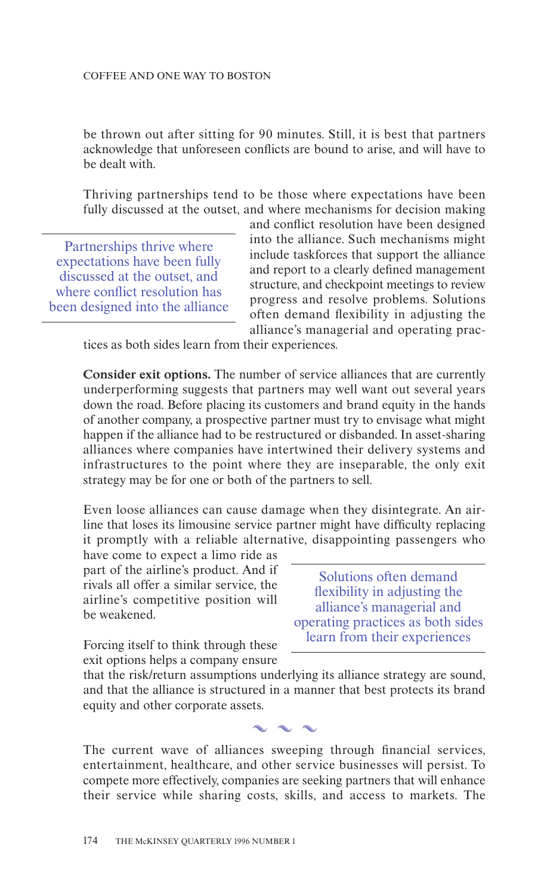be thrown out aƒter sitting for 90 minutes. Still, it is best that partners acknowledge that unforeseen conflicts are bound to arise, and will have to be dealt with.

Thriving partnerships tend to be those where expectations have been fully discussed at the outset, and where mechanisms for decision making

Partnerships thrive where expectations have been fully discussed at the outset, and where conflict resolution has been designed into the alliance

and conflict resolution have been designed into the alliance. Such mechanisms might include taskforces that support the alliance and report to a clearly defined management structure, and checkpoint meetings to review progress and resolve problems. Solutions oƒten demand flexibility in adjusting the alliance's managerial and operating prac-

tices as both sides learn from their experiences.

**Consider exit options.** The number of service alliances that are currently underperforming suggests that partners may well want out several years down the road. Before placing its customers and brand equity in the hands of another company, a prospective partner must try to envisage what might happen if the alliance had to be restructured or disbanded. In asset-sharing alliances where companies have intertwined their delivery systems and infrastructures to the point where they are inseparable, the only exit strategy may be for one or both of the partners to sell.

Even loose alliances can cause damage when they disintegrate. An airline that loses its limousine service partner might have diƒficulty replacing it promptly with a reliable alternative, disappointing passengers who

have come to expect a limo ride as part of the airline's product. And if rivals all offer a similar service, the airline's competitive position will be weakened.

Solutions often demand flexibility in adjusting the alliance's managerial and operating practices as both sides learn from their experiences

Forcing itself to think through these exit options helps a company ensure

that the risk/return assumptions underlying its alliance strategy are sound, and that the alliance is structured in a manner that best protects its brand equity and other corporate assets.

The current wave of alliances sweeping through financial services, entertainment, healthcare, and other service businesses will persist. To compete more eƒfectively, companies are seeking partners that will enhance their service while sharing costs, skills, and access to markets. The